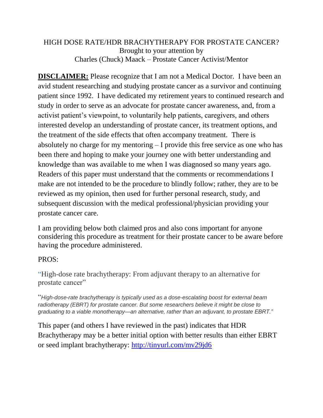## HIGH DOSE RATE/HDR BRACHYTHERAPY FOR PROSTATE CANCER? Brought to your attention by Charles (Chuck) Maack – Prostate Cancer Activist/Mentor

**DISCLAIMER:** Please recognize that I am not a Medical Doctor. I have been an avid student researching and studying prostate cancer as a survivor and continuing patient since 1992. I have dedicated my retirement years to continued research and study in order to serve as an advocate for prostate cancer awareness, and, from a activist patient's viewpoint, to voluntarily help patients, caregivers, and others interested develop an understanding of prostate cancer, its treatment options, and the treatment of the side effects that often accompany treatment. There is absolutely no charge for my mentoring – I provide this free service as one who has been there and hoping to make your journey one with better understanding and knowledge than was available to me when I was diagnosed so many years ago. Readers of this paper must understand that the comments or recommendations I make are not intended to be the procedure to blindly follow; rather, they are to be reviewed as my opinion, then used for further personal research, study, and subsequent discussion with the medical professional/physician providing your prostate cancer care.

I am providing below both claimed pros and also cons important for anyone considering this procedure as treatment for their prostate cancer to be aware before having the procedure administered.

## PROS:

"High-dose rate brachytherapy: From adjuvant therapy to an alternative for prostate cancer"

"*High-dose-rate brachytherapy is typically used as a dose-escalating boost for external beam radiotherapy (EBRT) for prostate cancer. But some researchers believe it might be close to graduating to a viable monotherapy—an alternative, rather than an adjuvant, to prostate EBRT."*

This paper (and others I have reviewed in the past) indicates that HDR Brachytherapy may be a better initial option with better results than either EBRT or seed implant brachytherapy:<http://tinyurl.com/mv29jd6>